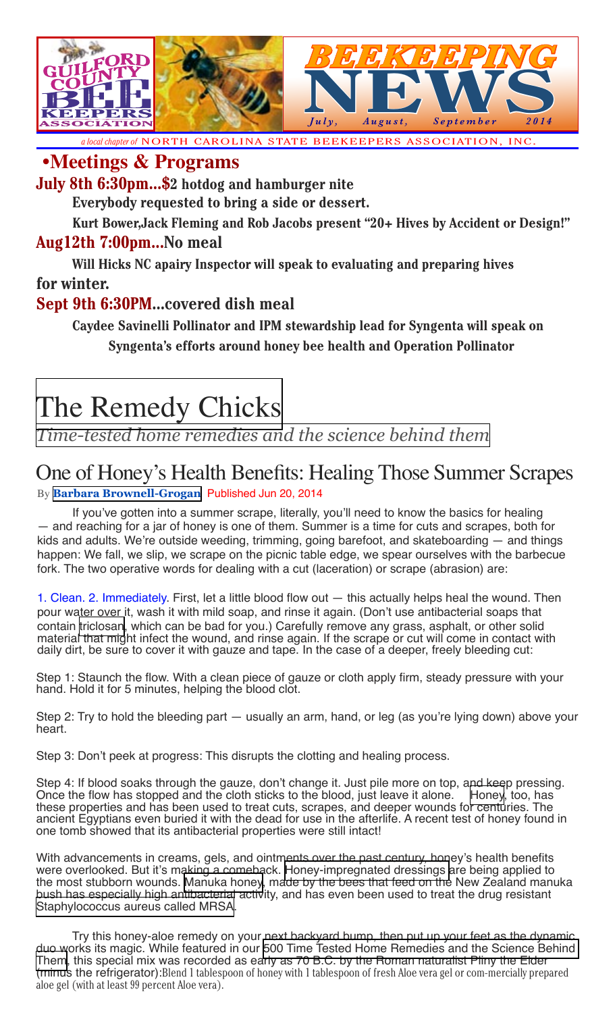

*a local chapter of* NORTH CAROLINA STATE BEEKEEPERS ASSOCIATION, INC.

### **•Meetings & Programs**

**July 8th 6:30pm...\$2 hotdog and hamburger nite** 

**Everybody requested to bring a side or dessert.**

**Kurt Bower,Jack Fleming and Rob Jacobs present "20+ Hives by Accident or Design!"**

#### **Aug12th 7:00pm...No meal**

**Will Hicks NC apairy Inspector will speak to evaluating and preparing hives for winter.**

#### **Sept 9th 6:30PM...covered dish meal**

**Caydee Savinelli Pollinator and IPM stewardship lead for Syngenta will speak on Syngenta's efforts around honey bee health and Operation Pollinator**

# [The Remedy Chicks](http://www.everydayhealth.com/columns/white-seeber-grogan-the-remedy-chicks)

*[Time-tested home remedies and the science behind them](http://www.everydayhealth.com/columns/white-seeber-grogan-the-remedy-chicks)*

## One of Honey's Health Benefits: Healing Those Summer Scrapes

By **[Barbara Brownell-Grogan](http://www.everydayhealth.com/columns/white-seeber-grogan-the-remedy-chicks/author/bbgrogan)** Published Jun 20, 2014

If you've gotten into a summer scrape, literally, you'll need to know the basics for healing — and reaching for a jar of honey is one of them. Summer is a time for cuts and scrapes, both for kids and adults. We're outside weeding, trimming, going barefoot, and skateboarding — and things happen: We fall, we slip, we scrape on the picnic table edge, we spear ourselves with the barbecue fork. The two operative words for dealing with a cut (laceration) or scrape (abrasion) are:

1. Clean. 2. Immediately. First, let a little blood flow out — this actually helps heal the wound. Then pour water over it, wash it with mild soap, and rinse it again. (Don't use antibacterial soaps that contain [triclosan,](http://www.ncbi.nlm.nih.gov/pubmed/17992702) which can be bad for you.) Carefully remove any grass, asphalt, or other solid material that might infect the wound, and rinse again. If the scrape or cut will come in contact with daily dirt, be sure to cover it with gauze and tape. In the case of a deeper, freely bleeding cut:

Step 1: Staunch the flow. With a clean piece of gauze or cloth apply firm, steady pressure with your hand. Hold it for 5 minutes, helping the blood clot.

Step 2: Try to hold the bleeding part — usually an arm, hand, or leg (as you're lying down) above your heart.

Step 3: Don't peek at progress: This disrupts the clotting and healing process.

Step 4: If blood soaks through the gauze, don't change it. Just pile more on top, and keep pressing. Once the flow has stopped and the cloth sticks to the blood, just leave it alone. [Honey,](http://www.ncbi.nlm.nih.gov/pmc/articles/PMC3495394/) too, has these properties and has been used to treat cuts, scrapes, and deeper wounds for centuries. The ancient Egyptians even buried it with the dead for use in the afterlife. A recent test of honey found in one tomb showed that its antibacterial properties were still intact!

With advancements in creams, gels, and ointments over the past century, honey's health benefits were overlooked. But it's making a comeback. [Honey-impregnated dressings a](http://www.ncbi.nlm.nih.gov/pubmed/17113690)re being applied to the most stubborn wounds. [Manuka honey](http://www.plosone.org/article/info%3Adoi%2F10.1371%2Fjournal.pone.0057679), made by the bees that feed on the New Zealand manuka bush has especially high antibacterial activity, and has even been used to treat the drug resistant [Staphylococcus aureus called MRSA.](http://www.everydayhealth.com/skin-and-beauty-pictures/the-facts-about-mrsa.aspx)

Try this honey-aloe remedy on your next backyard bump, then put up your feet as the dynamic duo works its magic. While featured in our [500 Time Tested Home Remedies and the Science Behind](http://www.amazon.com/Time-Tested-Home-Remedies-Science-Behind/dp/1592335756)  [Them,](http://www.amazon.com/Time-Tested-Home-Remedies-Science-Behind/dp/1592335756) this special mix was recorded as early as 70 B.C. by the Roman naturalist Pliny the Elder (minus the refrigerator):Blend 1 tablespoon of honey with 1 tablespoon of fresh Aloe vera gel or com-mercially prepared aloe gel (with at least 99 percent Aloe vera).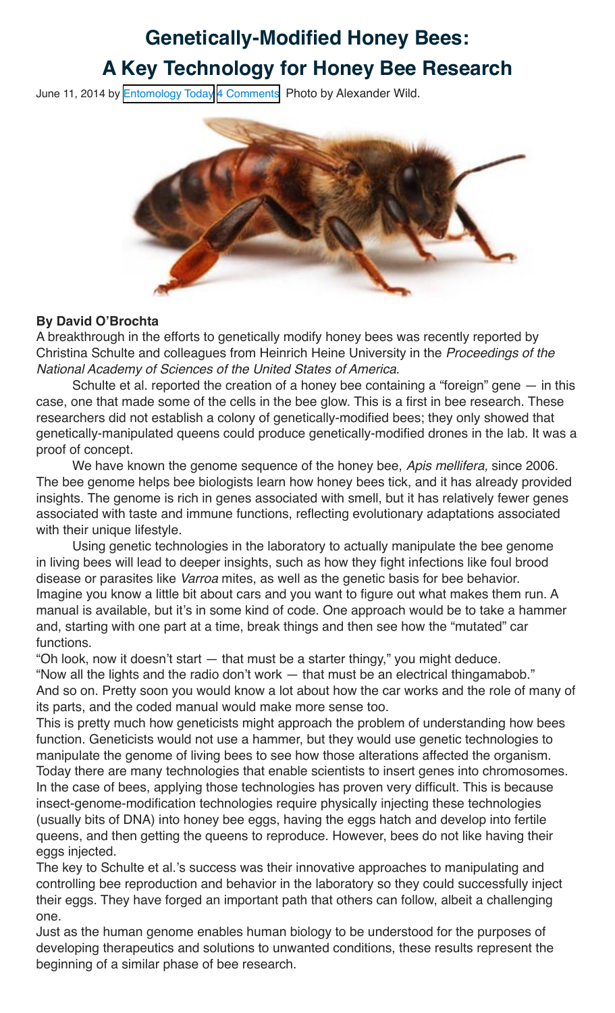## **Genetically-Modified Honey Bees: A Key Technology for Honey Bee Research**

June 11, 2014 by [Entomology Today](http://entomologytoday.org/author/rlevine2013/) [4 Comments](http://entomologytoday.org/2014/06/11/genetically-modified-honey-bees-a-key-technology-for-honey-bee-research/#comments) Photo by Alexander Wild.



#### **By David O'Brochta**

A breakthrough in the efforts to genetically modify honey bees was recently reported by Christina Schulte and colleagues from Heinrich Heine University in the Proceedings of the National Academy of Sciences of the United States of America.

Schulte et al. reported the creation of a honey bee containing a "foreign" gene — in this case, one that made some of the cells in the bee glow. This is a first in bee research. These researchers did not establish a colony of genetically-modified bees; they only showed that genetically-manipulated queens could produce genetically-modified drones in the lab. It was a proof of concept.

We have known the genome sequence of the honey bee, Apis mellifera, since 2006. The bee genome helps bee biologists learn how honey bees tick, and it has already provided insights. The genome is rich in genes associated with smell, but it has relatively fewer genes associated with taste and immune functions, reflecting evolutionary adaptations associated with their unique lifestyle.

Using genetic technologies in the laboratory to actually manipulate the bee genome in living bees will lead to deeper insights, such as how they fight infections like foul brood disease or parasites like Varroa mites, as well as the genetic basis for bee behavior. Imagine you know a little bit about cars and you want to figure out what makes them run. A manual is available, but it's in some kind of code. One approach would be to take a hammer and, starting with one part at a time, break things and then see how the "mutated" car functions.

"Oh look, now it doesn't start — that must be a starter thingy," you might deduce.

"Now all the lights and the radio don't work — that must be an electrical thingamabob." And so on. Pretty soon you would know a lot about how the car works and the role of many of its parts, and the coded manual would make more sense too.

This is pretty much how geneticists might approach the problem of understanding how bees function. Geneticists would not use a hammer, but they would use genetic technologies to manipulate the genome of living bees to see how those alterations affected the organism. Today there are many technologies that enable scientists to insert genes into chromosomes. In the case of bees, applying those technologies has proven very difficult. This is because insect-genome-modification technologies require physically injecting these technologies (usually bits of DNA) into honey bee eggs, having the eggs hatch and develop into fertile queens, and then getting the queens to reproduce. However, bees do not like having their eggs injected.

The key to Schulte et al.'s success was their innovative approaches to manipulating and controlling bee reproduction and behavior in the laboratory so they could successfully inject their eggs. They have forged an important path that others can follow, albeit a challenging one.

Just as the human genome enables human biology to be understood for the purposes of developing therapeutics and solutions to unwanted conditions, these results represent the beginning of a similar phase of bee research.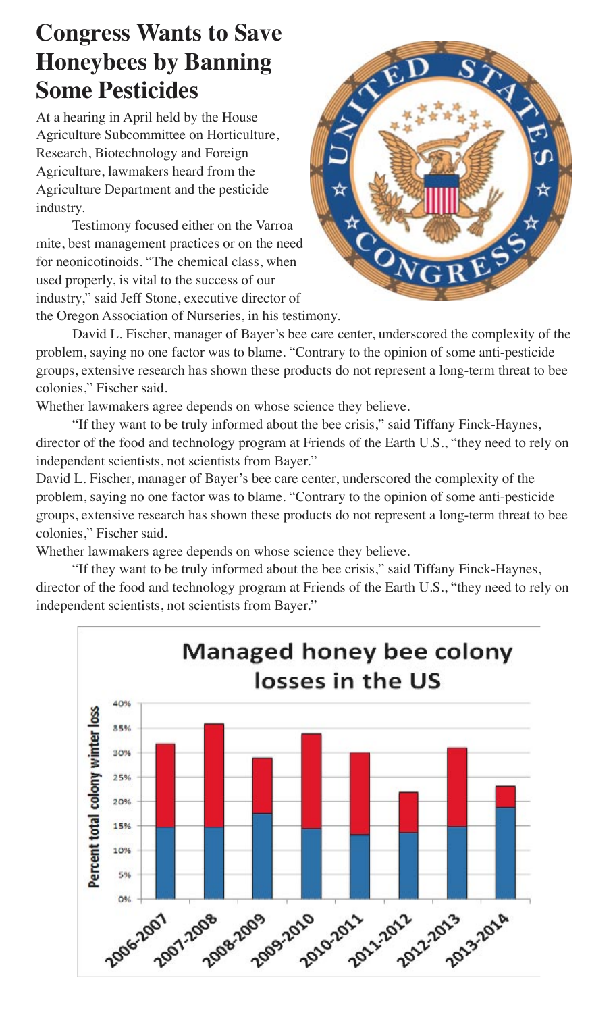## **Congress Wants to Save Honeybees by Banning Some Pesticides**

At a hearing in April held by the House Agriculture Subcommittee on Horticulture, Research, Biotechnology and Foreign Agriculture, lawmakers heard from the Agriculture Department and the pesticide industry.

Testimony focused either on the Varroa mite, best management practices or on the need for neonicotinoids. "The chemical class, when used properly, is vital to the success of our industry," said Jeff Stone, executive director of



the Oregon Association of Nurseries, in his testimony.

David L. Fischer, manager of Bayer's bee care center, underscored the complexity of the problem, saying no one factor was to blame. "Contrary to the opinion of some anti-pesticide groups, extensive research has shown these products do not represent a long-term threat to bee colonies," Fischer said.

Whether lawmakers agree depends on whose science they believe.

"If they want to be truly informed about the bee crisis," said Tiffany Finck-Haynes, director of the food and technology program at Friends of the Earth U.S., "they need to rely on independent scientists, not scientists from Bayer."

David L. Fischer, manager of Bayer's bee care center, underscored the complexity of the problem, saying no one factor was to blame. "Contrary to the opinion of some anti-pesticide groups, extensive research has shown these products do not represent a long-term threat to bee colonies," Fischer said.

Whether lawmakers agree depends on whose science they believe.

"If they want to be truly informed about the bee crisis," said Tiffany Finck-Haynes, director of the food and technology program at Friends of the Earth U.S., "they need to rely on independent scientists, not scientists from Bayer."

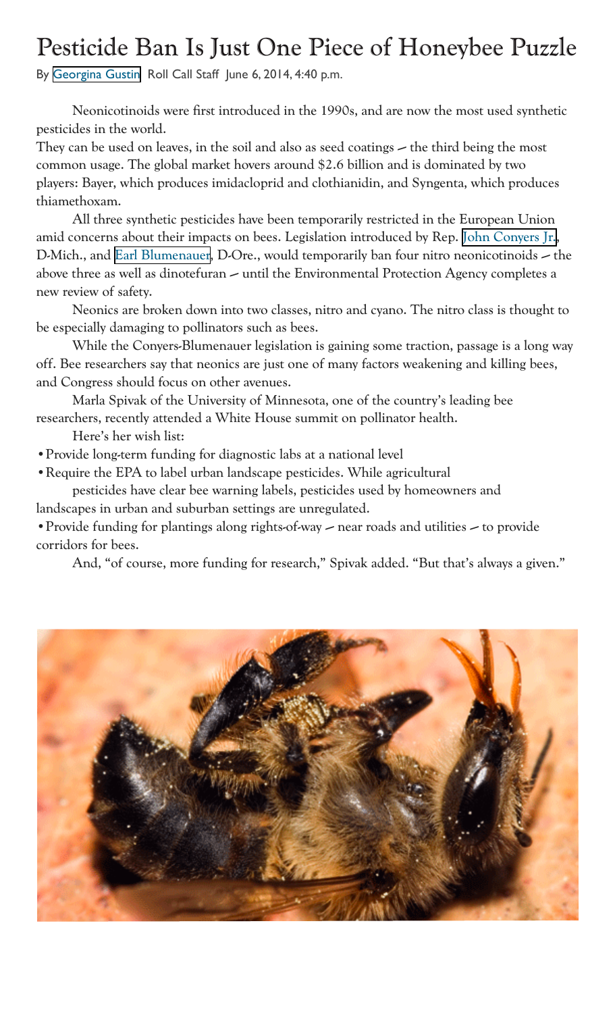# Pesticide Ban Is Just One Piece of Honeybee Puzzle

By [Georgina Gustin](http://www.rollcall.com/reporters/202.html) Roll Call Staff June 6, 2014, 4:40 p.m.

Neonicotinoids were first introduced in the 1990s, and are now the most used synthetic pesticides in the world.

They can be used on leaves, in the soil and also as seed coatings — the third being the most common usage. The global market hovers around \$2.6 billion and is dominated by two players: Bayer, which produces imidacloprid and clothianidin, and Syngenta, which produces thiamethoxam.

All three synthetic pesticides have been temporarily restricted in the European Union amid concerns about their impacts on bees. Legislation introduced by Rep. [John Conyers Jr.,](http://www.rollcall.com/members/253.html) D-Mich., and [Earl Blumenauer](http://www.rollcall.com/members/403.html), D-Ore., would temporarily ban four nitro neonicotinoids — the above three as well as dinotefuran — until the Environmental Protection Agency completes a new review of safety.

Neonics are broken down into two classes, nitro and cyano. The nitro class is thought to be especially damaging to pollinators such as bees.

While the Conyers-Blumenauer legislation is gaining some traction, passage is a long way off. Bee researchers say that neonics are just one of many factors weakening and killing bees, and Congress should focus on other avenues.

Marla Spivak of the University of Minnesota, one of the country's leading bee researchers, recently attended a White House summit on pollinator health.

Here's her wish list:

•Provide long-term funding for diagnostic labs at a national level

•Require the EPA to label urban landscape pesticides. While agricultural pesticides have clear bee warning labels, pesticides used by homeowners and landscapes in urban and suburban settings are unregulated.

•Provide funding for plantings along rights-of-way — near roads and utilities — to provide corridors for bees.

And, "of course, more funding for research," Spivak added. "But that's always a given."

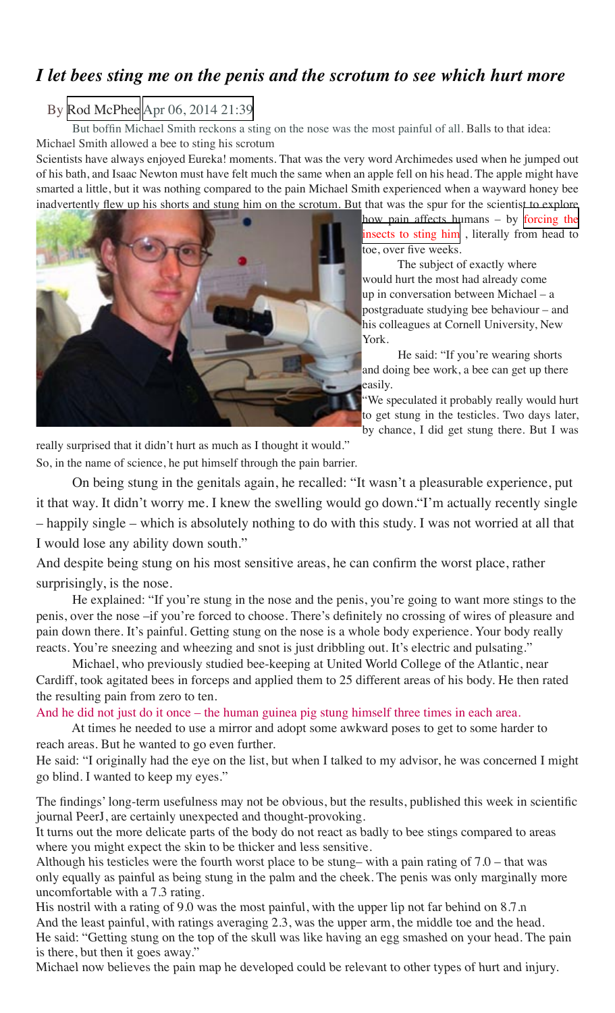### *I let bees sting me on the penis and the scrotum to see which hurt more*

#### By [Rod McPhee](http://www.mirror.co.uk/authors/rod-mcphee/) [Apr 06, 2014 21:39](http://www.mirror.co.uk/by-date/06-04-2014)

But boffin Michael Smith reckons a sting on the nose was the most painful of all. Balls to that idea: Michael Smith allowed a bee to sting his scrotum

Scientists have always enjoyed Eureka! moments. That was the very word Archimedes used when he jumped out of his bath, and Isaac Newton must have felt much the same when an apple fell on his head. The apple might have smarted a little, but it was nothing compared to the pain Michael Smith experienced when a wayward honey bee inadvertently flew up his shorts and stung him on the scrotum. But that was the spur for the scientist to explore



how pain affects humans – by [forcing the](http://www.mirror.co.uk/news/weird-news/bees-being-turned-into-zombies-by-parasite-156990) [insects to sting him](http://www.mirror.co.uk/news/weird-news/bees-being-turned-into-zombies-by-parasite-156990) , literally from head to toe, over five weeks.

The subject of exactly where would hurt the most had already come up in conversation between Michael – a postgraduate studying bee behaviour – and his colleagues at Cornell University, New York.

He said: "If you're wearing shorts and doing bee work, a bee can get up there easily.

"We speculated it probably really would hurt to get stung in the testicles. Two days later, by chance, I did get stung there. But I was

really surprised that it didn't hurt as much as I thought it would." So, in the name of science, he put himself through the pain barrier.

On being stung in the genitals again, he recalled: "It wasn't a pleasurable experience, put it that way. It didn't worry me. I knew the swelling would go down."I'm actually recently single – happily single – which is absolutely nothing to do with this study. I was not worried at all that I would lose any ability down south."

And despite being stung on his most sensitive areas, he can confirm the worst place, rather surprisingly, is the nose.

He explained: "If you're stung in the nose and the penis, you're going to want more stings to the penis, over the nose –if you're forced to choose. There's definitely no crossing of wires of pleasure and pain down there. It's painful. Getting stung on the nose is a whole body experience. Your body really reacts. You're sneezing and wheezing and snot is just dribbling out. It's electric and pulsating."

Michael, who previously studied bee-keeping at United World College of the Atlantic, near Cardiff, took agitated bees in forceps and applied them to 25 different areas of his body. He then rated the resulting pain from zero to ten.

And he did not just do it once – the human guinea pig stung himself three times in each area.

At times he needed to use a mirror and adopt some awkward poses to get to some harder to reach areas. But he wanted to go even further.

He said: "I originally had the eye on the list, but when I talked to my advisor, he was concerned I might go blind. I wanted to keep my eyes."

The findings' long-term usefulness may not be obvious, but the results, published this week in scientific journal PeerJ, are certainly unexpected and thought-provoking.

It turns out the more delicate parts of the body do not react as badly to bee stings compared to areas where you might expect the skin to be thicker and less sensitive.

Although his testicles were the fourth worst place to be stung– with a pain rating of 7.0 – that was only equally as painful as being stung in the palm and the cheek. The penis was only marginally more uncomfortable with a 7.3 rating.

His nostril with a rating of 9.0 was the most painful, with the upper lip not far behind on 8.7.n And the least painful, with ratings averaging 2.3, was the upper arm, the middle toe and the head. He said: "Getting stung on the top of the skull was like having an egg smashed on your head. The pain is there, but then it goes away."

Michael now believes the pain map he developed could be relevant to other types of hurt and injury.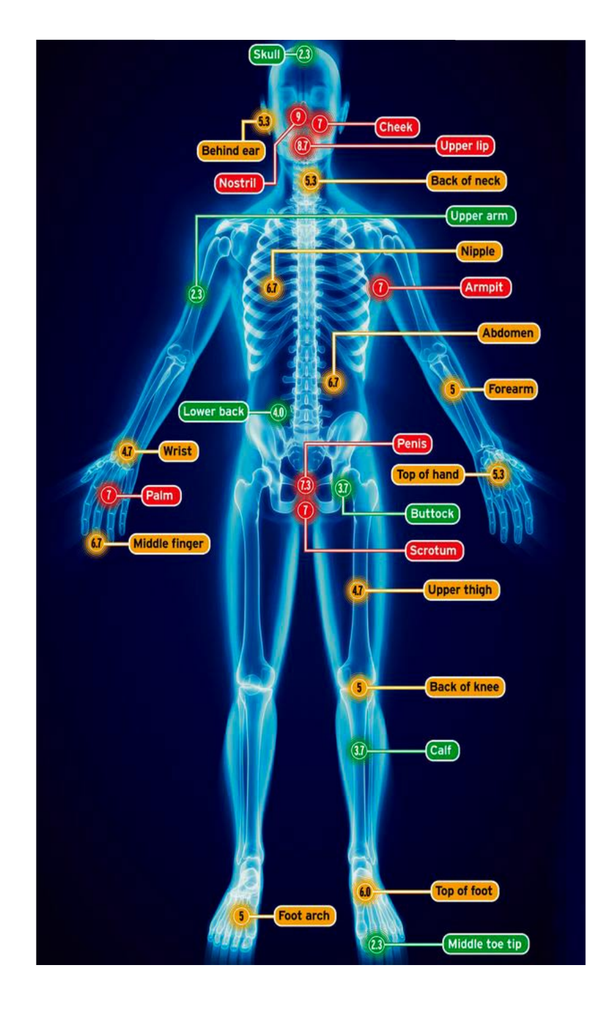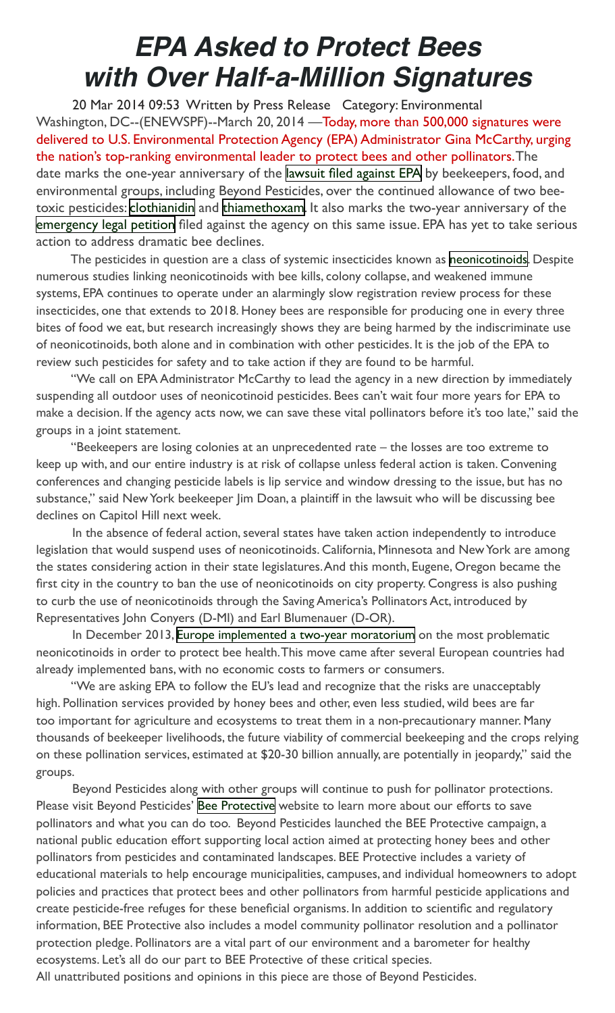# **EPA Asked to Protect Bees with Over Half-a-Million Signatures**

 20 Mar 2014 09:53 Written by Press Release Category: Environmental Washington, DC--(ENEWSPF)--March 20, 2014 —Today, more than 500,000 signatures were delivered to U.S. Environmental Protection Agency (EPA) Administrator Gina McCarthy, urging the nation's top-ranking environmental leader to protect bees and other pollinators. The date marks the one-year anniversary of the [lawsuit filed against EPA](http://www.beyondpesticides.org/pollinators/documents/NeonicLawsuitPR3.21.13.pdf) by beekeepers, food, and environmental groups, including Beyond Pesticides, over the continued allowance of two beetoxic pesticides: [clothianidin](http://www.beyondpesticides.org/gateway/index.php?pesticideid=121) and [thiamethoxam](http://www.beyondpesticides.org/gateway/index.php?pesticideid=289). It also marks the two-year anniversary of the [emergency legal petition](http://www.beyondpesticides.org/pollinators/petition.php) filed against the agency on this same issue. EPA has yet to take serious action to address dramatic bee declines.

The pesticides in question are a class of systemic insecticides known as [neonicotinoids](http://www.beyondpesticides.org/dailynewsblog/index.php?s=neonicotinoids). Despite numerous studies linking neonicotinoids with bee kills, colony collapse, and weakened immune systems, EPA continues to operate under an alarmingly slow registration review process for these insecticides, one that extends to 2018. Honey bees are responsible for producing one in every three bites of food we eat, but research increasingly shows they are being harmed by the indiscriminate use of neonicotinoids, both alone and in combination with other pesticides. It is the job of the EPA to review such pesticides for safety and to take action if they are found to be harmful.

"We call on EPA Administrator McCarthy to lead the agency in a new direction by immediately suspending all outdoor uses of neonicotinoid pesticides. Bees can't wait four more years for EPA to make a decision. If the agency acts now, we can save these vital pollinators before it's too late," said the groups in a joint statement.

"Beekeepers are losing colonies at an unprecedented rate – the losses are too extreme to keep up with, and our entire industry is at risk of collapse unless federal action is taken. Convening conferences and changing pesticide labels is lip service and window dressing to the issue, but has no substance," said New York beekeeper Jim Doan, a plaintiff in the lawsuit who will be discussing bee declines on Capitol Hill next week.

In the absence of federal action, several states have taken action independently to introduce legislation that would suspend uses of neonicotinoids. California, Minnesota and New York are among the states considering action in their state legislatures. And this month, Eugene, Oregon became the first city in the country to ban the use of neonicotinoids on city property. Congress is also pushing to curb the use of neonicotinoids through the Saving America's Pollinators Act, introduced by Representatives John Conyers (D-MI) and Earl Blumenauer (D-OR).

In December 2013, [Europe implemented a two-year moratorium](http://www.beyondpesticides.org/dailynewsblog/?p=10368) on the most problematic neonicotinoids in order to protect bee health. This move came after several European countries had already implemented bans, with no economic costs to farmers or consumers.

"We are asking EPA to follow the EU's lead and recognize that the risks are unacceptably high. Pollination services provided by honey bees and other, even less studied, wild bees are far too important for agriculture and ecosystems to treat them in a non-precautionary manner. Many thousands of beekeeper livelihoods, the future viability of commercial beekeeping and the crops relying on these pollination services, estimated at \$20-30 billion annually, are potentially in jeopardy," said the groups.

Beyond Pesticides along with other groups will continue to push for pollinator protections. Please visit Beyond Pesticides' [Bee Protective](http://www.beyondpesticides.org/pollinators/index.php) website to learn more about our efforts to save pollinators and what you can do too. Beyond Pesticides launched the BEE Protective campaign, a national public education effort supporting local action aimed at protecting honey bees and other pollinators from pesticides and contaminated landscapes. BEE Protective includes a variety of educational materials to help encourage municipalities, campuses, and individual homeowners to adopt policies and practices that protect bees and other pollinators from harmful pesticide applications and create pesticide-free refuges for these beneficial organisms. In addition to scientific and regulatory information, BEE Protective also includes a model community pollinator resolution and a pollinator protection pledge. Pollinators are a vital part of our environment and a barometer for healthy ecosystems. Let's all do our part to BEE Protective of these critical species.

All unattributed positions and opinions in this piece are those of Beyond Pesticides.